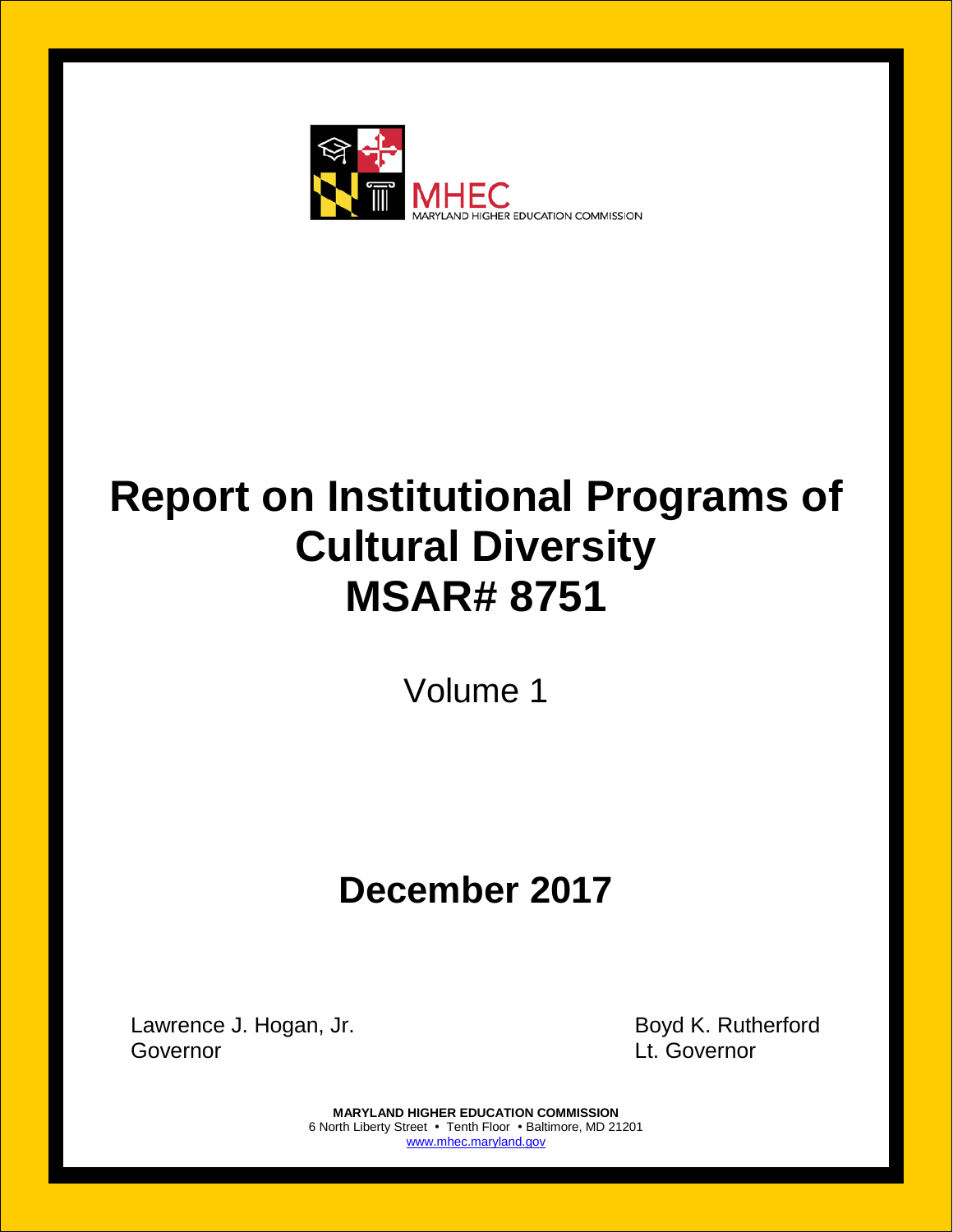

# **Report on Institutional Programs of Cultural Diversity MSAR# 8751**

Volume 1

## **December 2017**

Lawrence J. Hogan, Jr. **Boyd K. Rutherford** Governor Lt. Governor

**MARYLAND HIGHER EDUCATION COMMISSION** 6 North Liberty Street • Tenth Floor • Baltimore, MD 21201 [www.mhec.maryland.gov](http://www.mhec.maryland.gov/)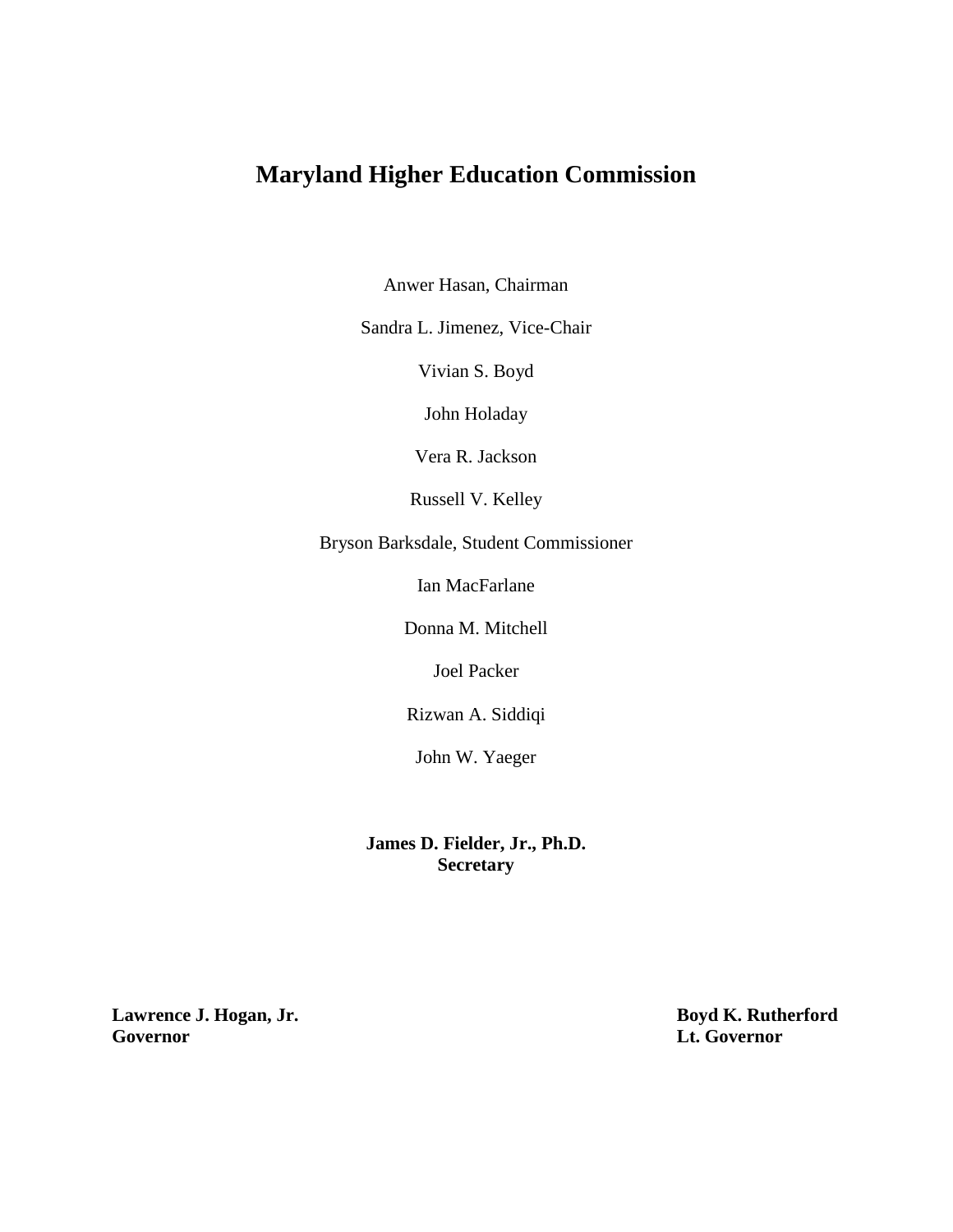## **Maryland Higher Education Commission**

Anwer Hasan, Chairman

Sandra L. Jimenez, Vice-Chair

Vivian S. Boyd

John Holaday

Vera R. Jackson

Russell V. Kelley

Bryson Barksdale, Student Commissioner

Ian MacFarlane

Donna M. Mitchell

Joel Packer

Rizwan A. Siddiqi

John W. Yaeger

**James D. Fielder, Jr., Ph.D. Secretary**

**Lawrence J. Hogan, Jr. Boyd K. Rutherford Governor Lt. Governor**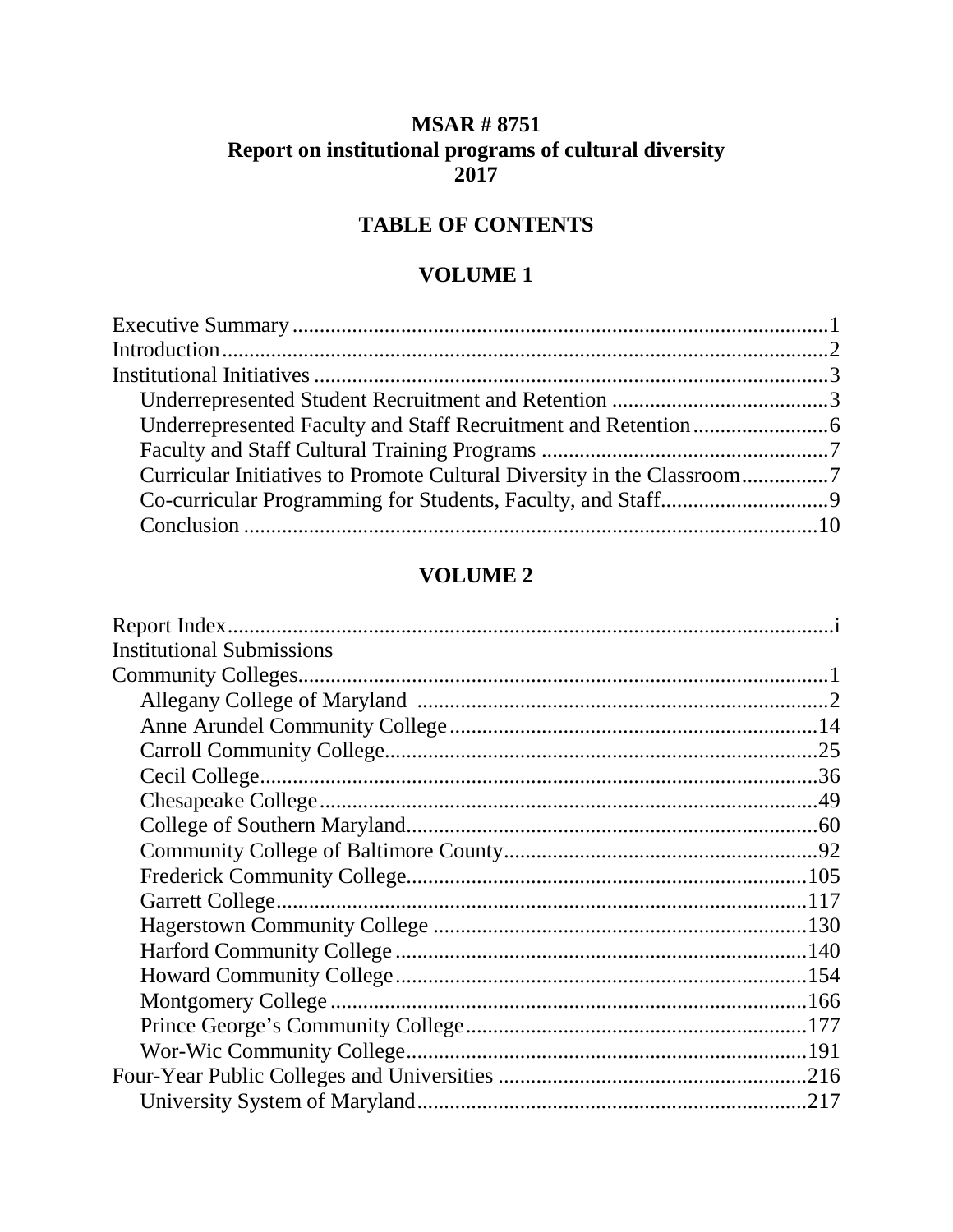## **MSAR # 8751 Report on institutional programs of cultural diversity 2017**

## **TABLE OF CONTENTS**

### **VOLUME 1**

## **VOLUME 2**

| <b>Institutional Submissions</b> |  |
|----------------------------------|--|
|                                  |  |
|                                  |  |
|                                  |  |
|                                  |  |
|                                  |  |
|                                  |  |
|                                  |  |
|                                  |  |
|                                  |  |
|                                  |  |
|                                  |  |
|                                  |  |
|                                  |  |
|                                  |  |
|                                  |  |
|                                  |  |
|                                  |  |
|                                  |  |
|                                  |  |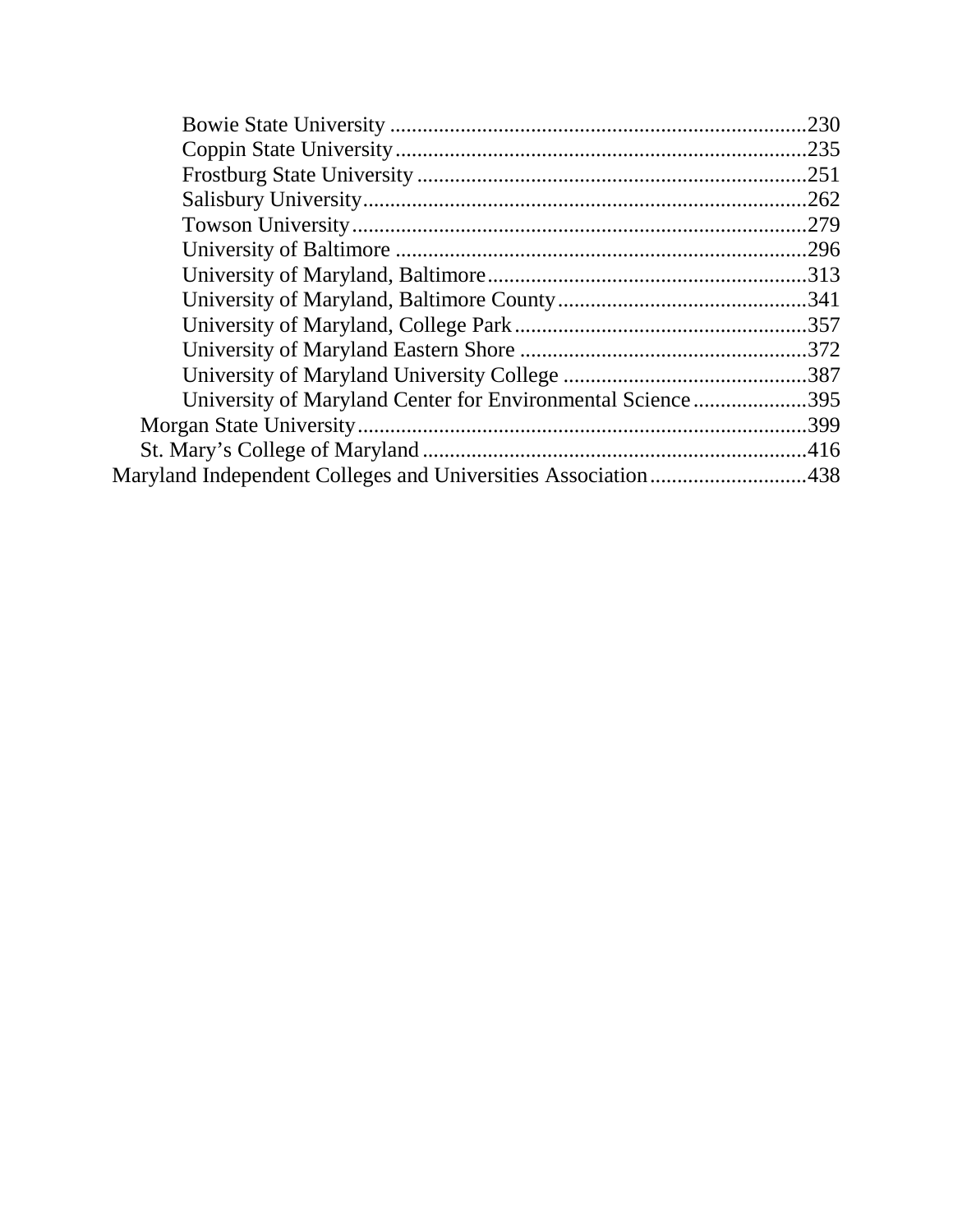| University of Maryland Center for Environmental Science395    |  |
|---------------------------------------------------------------|--|
|                                                               |  |
|                                                               |  |
| Maryland Independent Colleges and Universities Association438 |  |
|                                                               |  |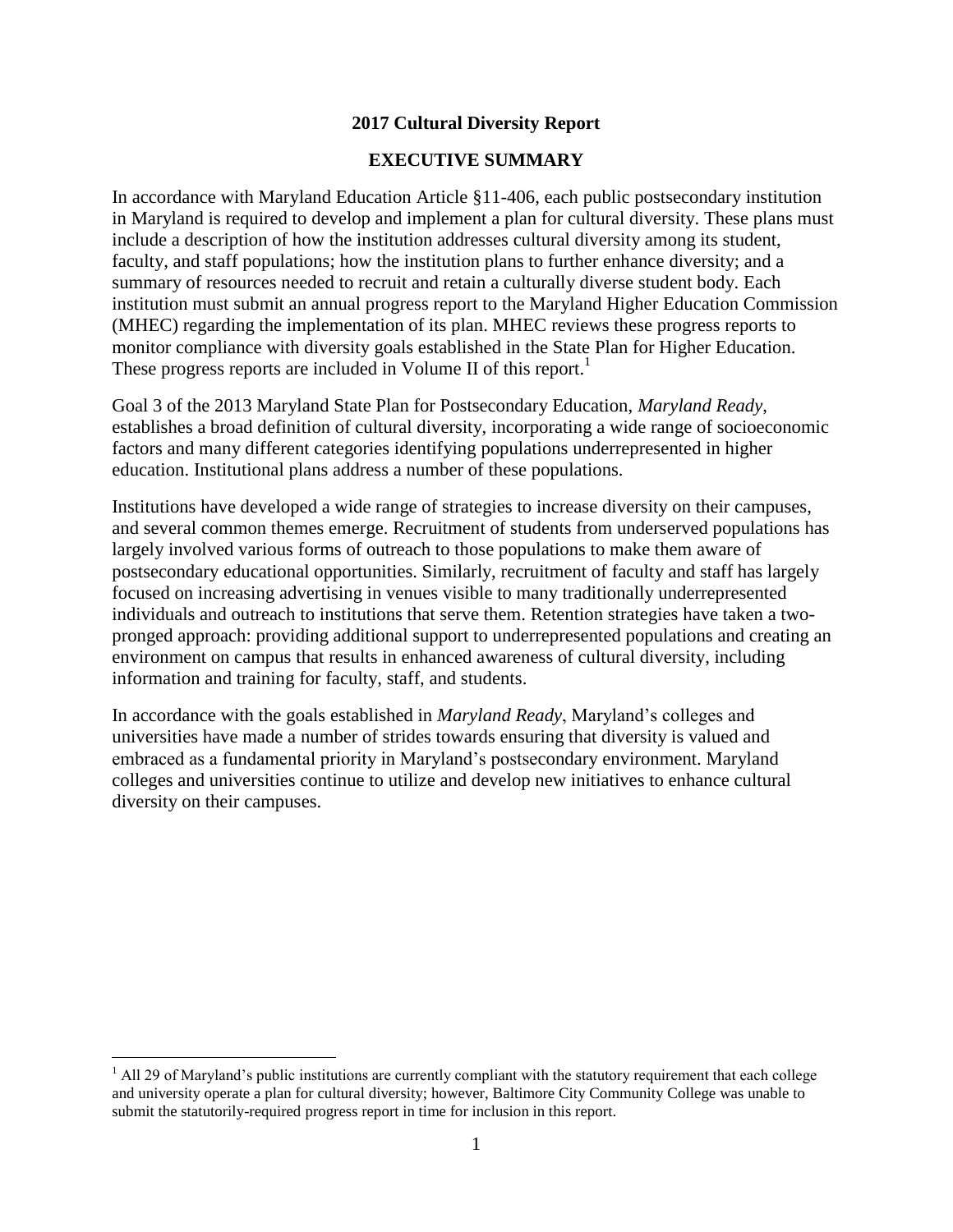#### **2017 Cultural Diversity Report**

#### **EXECUTIVE SUMMARY**

In accordance with Maryland Education Article §11-406, each public postsecondary institution in Maryland is required to develop and implement a plan for cultural diversity. These plans must include a description of how the institution addresses cultural diversity among its student, faculty, and staff populations; how the institution plans to further enhance diversity; and a summary of resources needed to recruit and retain a culturally diverse student body. Each institution must submit an annual progress report to the Maryland Higher Education Commission (MHEC) regarding the implementation of its plan. MHEC reviews these progress reports to monitor compliance with diversity goals established in the State Plan for Higher Education. These progress reports are included in Volume II of this report.<sup>1</sup>

Goal 3 of the 2013 Maryland State Plan for Postsecondary Education, *Maryland Ready*, establishes a broad definition of cultural diversity, incorporating a wide range of socioeconomic factors and many different categories identifying populations underrepresented in higher education. Institutional plans address a number of these populations.

Institutions have developed a wide range of strategies to increase diversity on their campuses, and several common themes emerge. Recruitment of students from underserved populations has largely involved various forms of outreach to those populations to make them aware of postsecondary educational opportunities. Similarly, recruitment of faculty and staff has largely focused on increasing advertising in venues visible to many traditionally underrepresented individuals and outreach to institutions that serve them. Retention strategies have taken a twopronged approach: providing additional support to underrepresented populations and creating an environment on campus that results in enhanced awareness of cultural diversity, including information and training for faculty, staff, and students.

In accordance with the goals established in *Maryland Ready*, Maryland's colleges and universities have made a number of strides towards ensuring that diversity is valued and embraced as a fundamental priority in Maryland's postsecondary environment. Maryland colleges and universities continue to utilize and develop new initiatives to enhance cultural diversity on their campuses.

 $\overline{a}$ 

 $<sup>1</sup>$  All 29 of Maryland's public institutions are currently compliant with the statutory requirement that each college</sup> and university operate a plan for cultural diversity; however, Baltimore City Community College was unable to submit the statutorily-required progress report in time for inclusion in this report.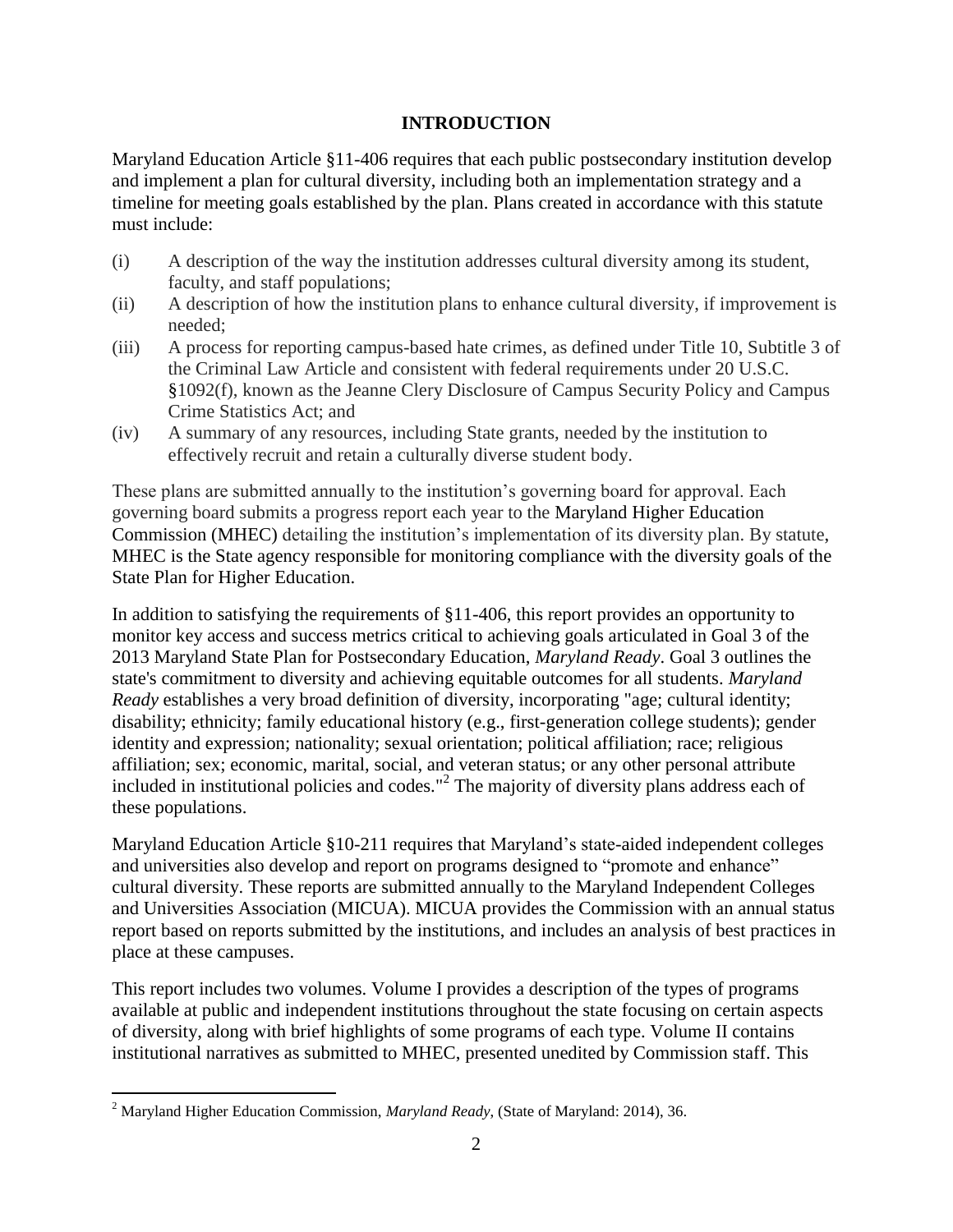#### **INTRODUCTION**

Maryland Education Article §11-406 requires that each public postsecondary institution develop and implement a plan for cultural diversity, including both an implementation strategy and a timeline for meeting goals established by the plan. Plans created in accordance with this statute must include:

- (i) A description of the way the institution addresses cultural diversity among its student, faculty, and staff populations;
- (ii) A description of how the institution plans to enhance cultural diversity, if improvement is needed;
- (iii) A process for reporting campus-based hate crimes, as defined under Title 10, Subtitle 3 of the Criminal Law Article and consistent with federal requirements under 20 U.S.C. §1092(f), known as the Jeanne Clery Disclosure of Campus Security Policy and Campus Crime Statistics Act; and
- (iv) A summary of any resources, including State grants, needed by the institution to effectively recruit and retain a culturally diverse student body.

These plans are submitted annually to the institution's governing board for approval. Each governing board submits a progress report each year to the Maryland Higher Education Commission (MHEC) detailing the institution's implementation of its diversity plan. By statute, MHEC is the State agency responsible for monitoring compliance with the diversity goals of the State Plan for Higher Education.

In addition to satisfying the requirements of §11-406, this report provides an opportunity to monitor key access and success metrics critical to achieving goals articulated in Goal 3 of the 2013 Maryland State Plan for Postsecondary Education, *Maryland Ready*. Goal 3 outlines the state's commitment to diversity and achieving equitable outcomes for all students. *Maryland Ready* establishes a very broad definition of diversity, incorporating "age; cultural identity; disability; ethnicity; family educational history (e.g., first-generation college students); gender identity and expression; nationality; sexual orientation; political affiliation; race; religious affiliation; sex; economic, marital, social, and veteran status; or any other personal attribute included in institutional policies and codes."<sup>2</sup> The majority of diversity plans address each of these populations.

Maryland Education Article §10-211 requires that Maryland's state-aided independent colleges and universities also develop and report on programs designed to "promote and enhance" cultural diversity. These reports are submitted annually to the Maryland Independent Colleges and Universities Association (MICUA). MICUA provides the Commission with an annual status report based on reports submitted by the institutions, and includes an analysis of best practices in place at these campuses.

This report includes two volumes. Volume I provides a description of the types of programs available at public and independent institutions throughout the state focusing on certain aspects of diversity, along with brief highlights of some programs of each type. Volume II contains institutional narratives as submitted to MHEC, presented unedited by Commission staff. This

 $\overline{a}$ 

<sup>2</sup> Maryland Higher Education Commission, *Maryland Ready*, (State of Maryland: 2014), 36.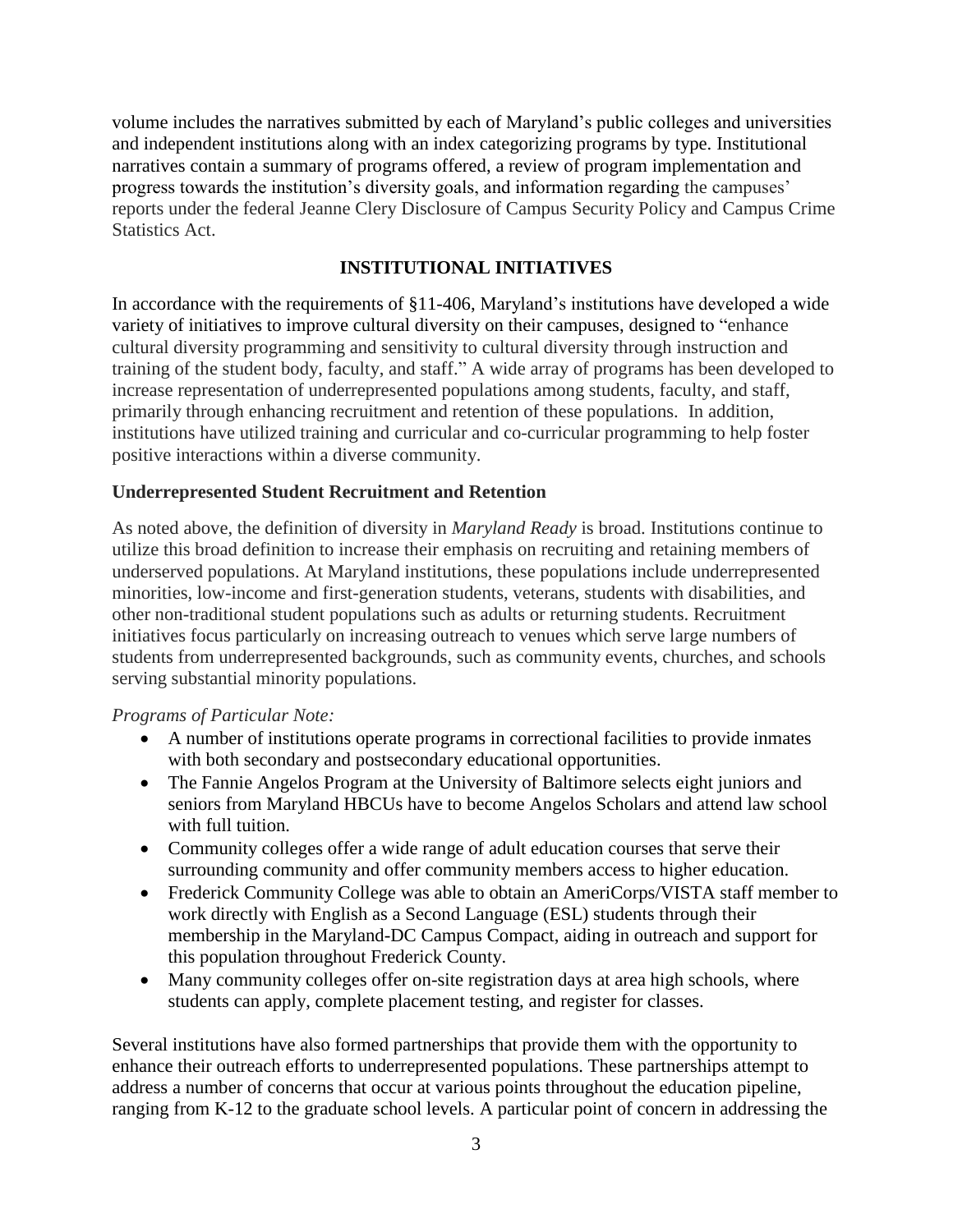volume includes the narratives submitted by each of Maryland's public colleges and universities and independent institutions along with an index categorizing programs by type. Institutional narratives contain a summary of programs offered, a review of program implementation and progress towards the institution's diversity goals, and information regarding the campuses' reports under the federal Jeanne Clery Disclosure of Campus Security Policy and Campus Crime Statistics Act.

#### **INSTITUTIONAL INITIATIVES**

In accordance with the requirements of §11-406, Maryland's institutions have developed a wide variety of initiatives to improve cultural diversity on their campuses, designed to "enhance cultural diversity programming and sensitivity to cultural diversity through instruction and training of the student body, faculty, and staff." A wide array of programs has been developed to increase representation of underrepresented populations among students, faculty, and staff, primarily through enhancing recruitment and retention of these populations. In addition, institutions have utilized training and curricular and co-curricular programming to help foster positive interactions within a diverse community.

#### **Underrepresented Student Recruitment and Retention**

As noted above, the definition of diversity in *Maryland Ready* is broad. Institutions continue to utilize this broad definition to increase their emphasis on recruiting and retaining members of underserved populations. At Maryland institutions, these populations include underrepresented minorities, low-income and first-generation students, veterans, students with disabilities, and other non-traditional student populations such as adults or returning students. Recruitment initiatives focus particularly on increasing outreach to venues which serve large numbers of students from underrepresented backgrounds, such as community events, churches, and schools serving substantial minority populations.

#### *Programs of Particular Note:*

- A number of institutions operate programs in correctional facilities to provide inmates with both secondary and postsecondary educational opportunities.
- The Fannie Angelos Program at the University of Baltimore selects eight juniors and seniors from Maryland HBCUs have to become Angelos Scholars and attend law school with full tuition.
- Community colleges offer a wide range of adult education courses that serve their surrounding community and offer community members access to higher education.
- Frederick Community College was able to obtain an AmeriCorps/VISTA staff member to work directly with English as a Second Language (ESL) students through their membership in the Maryland-DC Campus Compact, aiding in outreach and support for this population throughout Frederick County.
- Many community colleges offer on-site registration days at area high schools, where students can apply, complete placement testing, and register for classes.

Several institutions have also formed partnerships that provide them with the opportunity to enhance their outreach efforts to underrepresented populations. These partnerships attempt to address a number of concerns that occur at various points throughout the education pipeline, ranging from K-12 to the graduate school levels. A particular point of concern in addressing the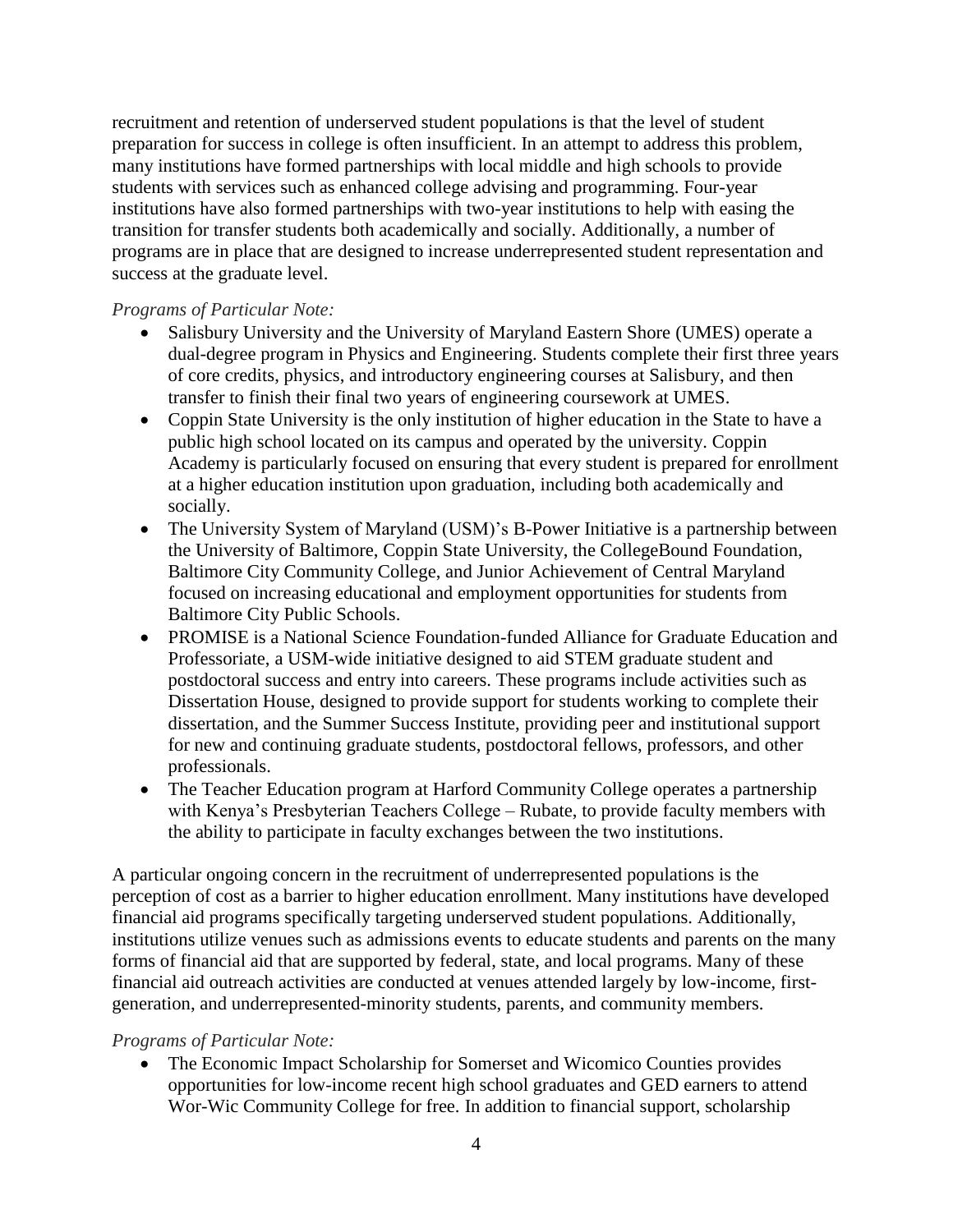recruitment and retention of underserved student populations is that the level of student preparation for success in college is often insufficient. In an attempt to address this problem, many institutions have formed partnerships with local middle and high schools to provide students with services such as enhanced college advising and programming. Four-year institutions have also formed partnerships with two-year institutions to help with easing the transition for transfer students both academically and socially. Additionally, a number of programs are in place that are designed to increase underrepresented student representation and success at the graduate level.

#### *Programs of Particular Note:*

- Salisbury University and the University of Maryland Eastern Shore (UMES) operate a dual-degree program in Physics and Engineering. Students complete their first three years of core credits, physics, and introductory engineering courses at Salisbury, and then transfer to finish their final two years of engineering coursework at UMES.
- Coppin State University is the only institution of higher education in the State to have a public high school located on its campus and operated by the university. Coppin Academy is particularly focused on ensuring that every student is prepared for enrollment at a higher education institution upon graduation, including both academically and socially.
- The University System of Maryland (USM)'s B-Power Initiative is a partnership between the University of Baltimore, Coppin State University, the CollegeBound Foundation, Baltimore City Community College, and Junior Achievement of Central Maryland focused on increasing educational and employment opportunities for students from Baltimore City Public Schools.
- PROMISE is a National Science Foundation-funded Alliance for Graduate Education and Professoriate, a USM-wide initiative designed to aid STEM graduate student and postdoctoral success and entry into careers. These programs include activities such as Dissertation House, designed to provide support for students working to complete their dissertation, and the Summer Success Institute, providing peer and institutional support for new and continuing graduate students, postdoctoral fellows, professors, and other professionals.
- The Teacher Education program at Harford Community College operates a partnership with Kenya's Presbyterian Teachers College – Rubate, to provide faculty members with the ability to participate in faculty exchanges between the two institutions.

A particular ongoing concern in the recruitment of underrepresented populations is the perception of cost as a barrier to higher education enrollment. Many institutions have developed financial aid programs specifically targeting underserved student populations. Additionally, institutions utilize venues such as admissions events to educate students and parents on the many forms of financial aid that are supported by federal, state, and local programs. Many of these financial aid outreach activities are conducted at venues attended largely by low-income, firstgeneration, and underrepresented-minority students, parents, and community members.

#### *Programs of Particular Note:*

 The Economic Impact Scholarship for Somerset and Wicomico Counties provides opportunities for low-income recent high school graduates and GED earners to attend Wor-Wic Community College for free. In addition to financial support, scholarship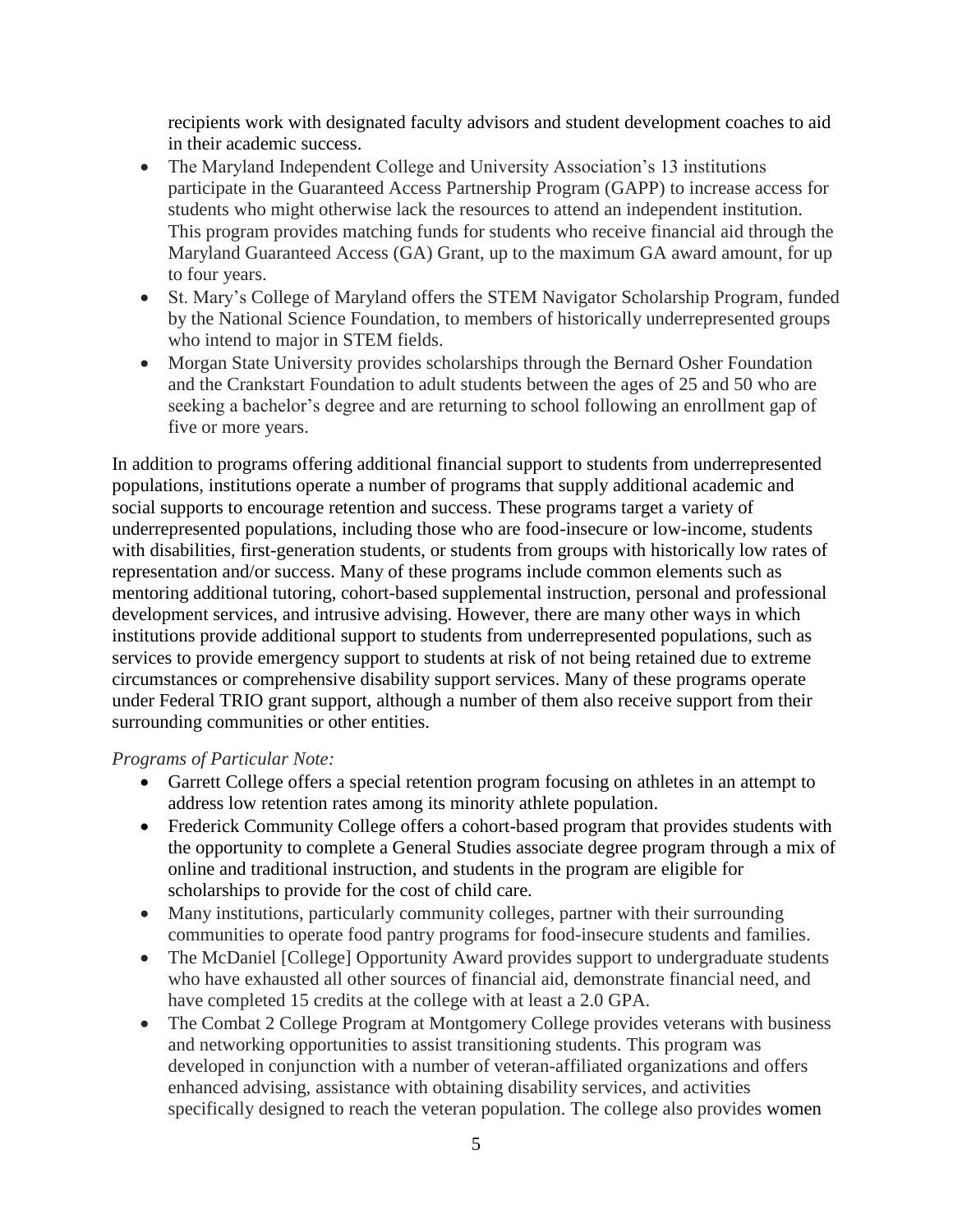recipients work with designated faculty advisors and student development coaches to aid in their academic success.

- The Maryland Independent College and University Association's 13 institutions participate in the Guaranteed Access Partnership Program (GAPP) to increase access for students who might otherwise lack the resources to attend an independent institution. This program provides matching funds for students who receive financial aid through the Maryland Guaranteed Access (GA) Grant, up to the maximum GA award amount, for up to four years.
- St. Mary's College of Maryland offers the STEM Navigator Scholarship Program, funded by the National Science Foundation, to members of historically underrepresented groups who intend to major in STEM fields.
- Morgan State University provides scholarships through the Bernard Osher Foundation and the Crankstart Foundation to adult students between the ages of 25 and 50 who are seeking a bachelor's degree and are returning to school following an enrollment gap of five or more years.

In addition to programs offering additional financial support to students from underrepresented populations, institutions operate a number of programs that supply additional academic and social supports to encourage retention and success. These programs target a variety of underrepresented populations, including those who are food-insecure or low-income, students with disabilities, first-generation students, or students from groups with historically low rates of representation and/or success. Many of these programs include common elements such as mentoring additional tutoring, cohort-based supplemental instruction, personal and professional development services, and intrusive advising. However, there are many other ways in which institutions provide additional support to students from underrepresented populations, such as services to provide emergency support to students at risk of not being retained due to extreme circumstances or comprehensive disability support services. Many of these programs operate under Federal TRIO grant support, although a number of them also receive support from their surrounding communities or other entities.

*Programs of Particular Note:*

- Garrett College offers a special retention program focusing on athletes in an attempt to address low retention rates among its minority athlete population.
- Frederick Community College offers a cohort-based program that provides students with the opportunity to complete a General Studies associate degree program through a mix of online and traditional instruction, and students in the program are eligible for scholarships to provide for the cost of child care.
- Many institutions, particularly community colleges, partner with their surrounding communities to operate food pantry programs for food-insecure students and families.
- The McDaniel [College] Opportunity Award provides support to undergraduate students who have exhausted all other sources of financial aid, demonstrate financial need, and have completed 15 credits at the college with at least a 2.0 GPA.
- The Combat 2 College Program at Montgomery College provides veterans with business and networking opportunities to assist transitioning students. This program was developed in conjunction with a number of veteran-affiliated organizations and offers enhanced advising, assistance with obtaining disability services, and activities specifically designed to reach the veteran population. The college also provides women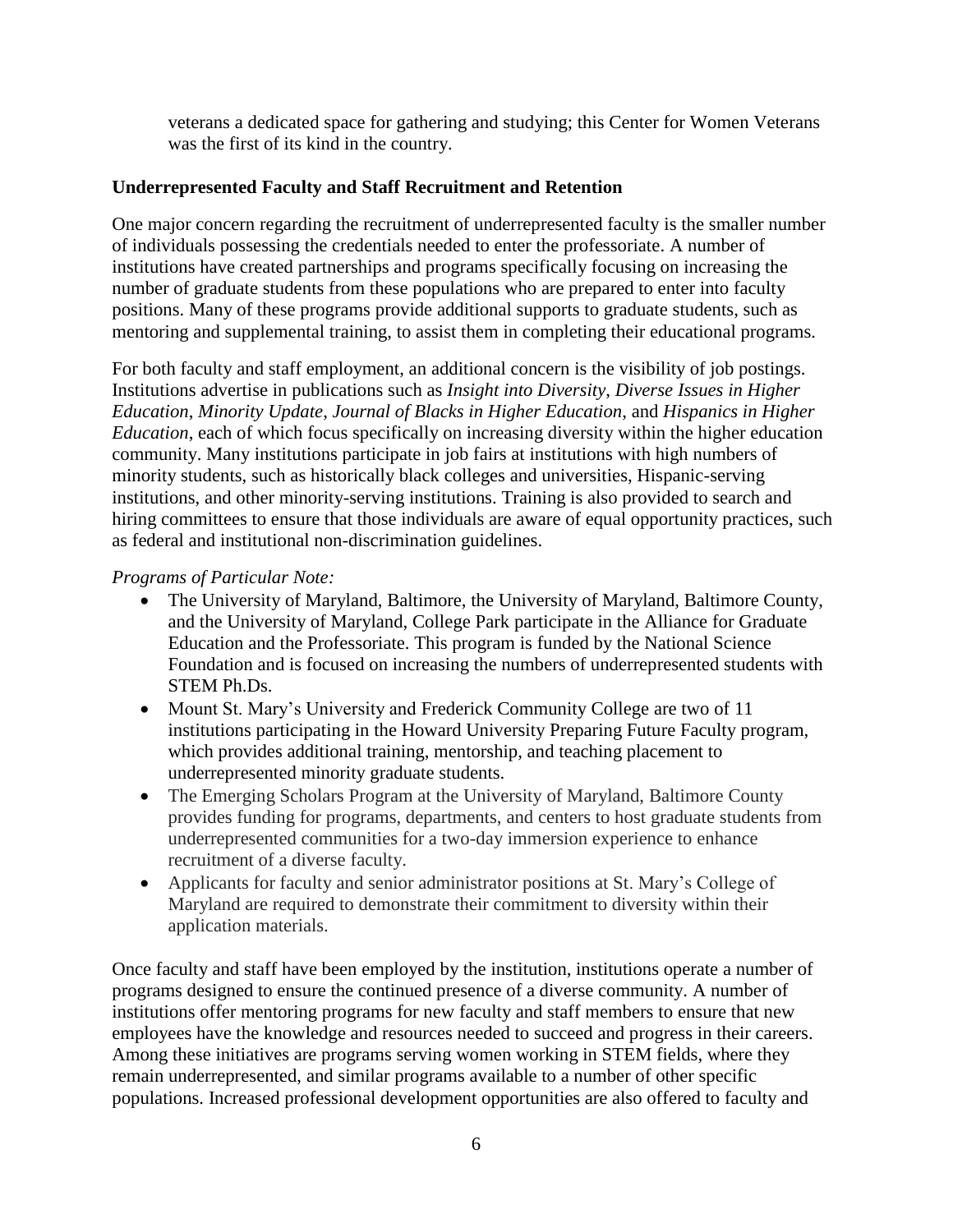veterans a dedicated space for gathering and studying; this Center for Women Veterans was the first of its kind in the country.

#### **Underrepresented Faculty and Staff Recruitment and Retention**

One major concern regarding the recruitment of underrepresented faculty is the smaller number of individuals possessing the credentials needed to enter the professoriate. A number of institutions have created partnerships and programs specifically focusing on increasing the number of graduate students from these populations who are prepared to enter into faculty positions. Many of these programs provide additional supports to graduate students, such as mentoring and supplemental training, to assist them in completing their educational programs.

For both faculty and staff employment, an additional concern is the visibility of job postings. Institutions advertise in publications such as *Insight into Diversity*, *Diverse Issues in Higher Education*, *Minority Update*, *Journal of Blacks in Higher Education*, and *Hispanics in Higher Education*, each of which focus specifically on increasing diversity within the higher education community. Many institutions participate in job fairs at institutions with high numbers of minority students, such as historically black colleges and universities, Hispanic-serving institutions, and other minority-serving institutions. Training is also provided to search and hiring committees to ensure that those individuals are aware of equal opportunity practices, such as federal and institutional non-discrimination guidelines.

#### *Programs of Particular Note:*

- The University of Maryland, Baltimore, the University of Maryland, Baltimore County, and the University of Maryland, College Park participate in the Alliance for Graduate Education and the Professoriate. This program is funded by the National Science Foundation and is focused on increasing the numbers of underrepresented students with STEM Ph.Ds.
- Mount St. Mary's University and Frederick Community College are two of 11 institutions participating in the Howard University Preparing Future Faculty program, which provides additional training, mentorship, and teaching placement to underrepresented minority graduate students.
- The Emerging Scholars Program at the University of Maryland, Baltimore County provides funding for programs, departments, and centers to host graduate students from underrepresented communities for a two-day immersion experience to enhance recruitment of a diverse faculty.
- Applicants for faculty and senior administrator positions at St. Mary's College of Maryland are required to demonstrate their commitment to diversity within their application materials.

Once faculty and staff have been employed by the institution, institutions operate a number of programs designed to ensure the continued presence of a diverse community. A number of institutions offer mentoring programs for new faculty and staff members to ensure that new employees have the knowledge and resources needed to succeed and progress in their careers. Among these initiatives are programs serving women working in STEM fields, where they remain underrepresented, and similar programs available to a number of other specific populations. Increased professional development opportunities are also offered to faculty and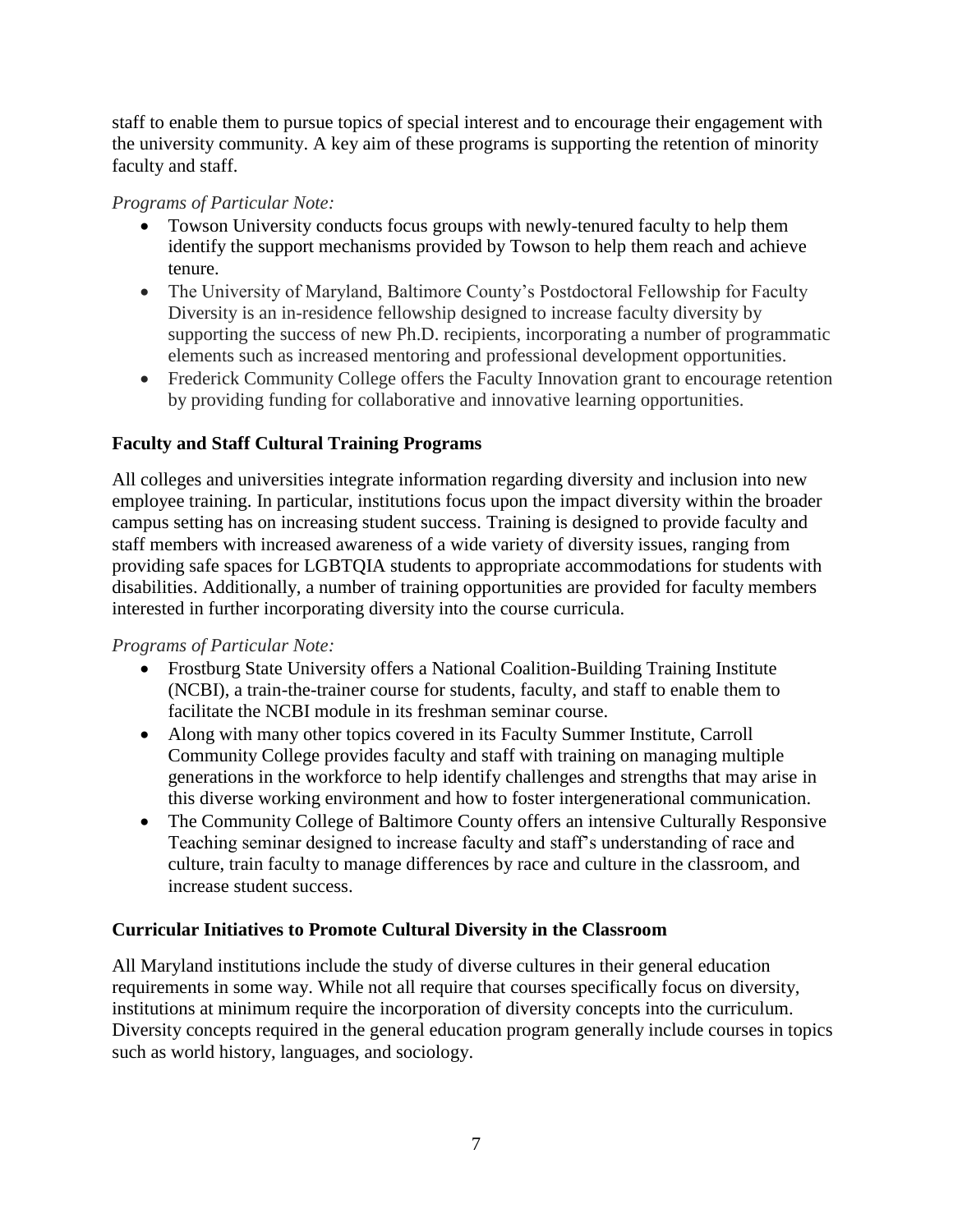staff to enable them to pursue topics of special interest and to encourage their engagement with the university community. A key aim of these programs is supporting the retention of minority faculty and staff.

#### *Programs of Particular Note:*

- Towson University conducts focus groups with newly-tenured faculty to help them identify the support mechanisms provided by Towson to help them reach and achieve tenure.
- The University of Maryland, Baltimore County's Postdoctoral Fellowship for Faculty Diversity is an in-residence fellowship designed to increase faculty diversity by supporting the success of new Ph.D. recipients, incorporating a number of programmatic elements such as increased mentoring and professional development opportunities.
- Frederick Community College offers the Faculty Innovation grant to encourage retention by providing funding for collaborative and innovative learning opportunities.

#### **Faculty and Staff Cultural Training Programs**

All colleges and universities integrate information regarding diversity and inclusion into new employee training. In particular, institutions focus upon the impact diversity within the broader campus setting has on increasing student success. Training is designed to provide faculty and staff members with increased awareness of a wide variety of diversity issues, ranging from providing safe spaces for LGBTQIA students to appropriate accommodations for students with disabilities. Additionally, a number of training opportunities are provided for faculty members interested in further incorporating diversity into the course curricula.

#### *Programs of Particular Note:*

- Frostburg State University offers a National Coalition-Building Training Institute (NCBI), a train-the-trainer course for students, faculty, and staff to enable them to facilitate the NCBI module in its freshman seminar course.
- Along with many other topics covered in its Faculty Summer Institute, Carroll Community College provides faculty and staff with training on managing multiple generations in the workforce to help identify challenges and strengths that may arise in this diverse working environment and how to foster intergenerational communication.
- The Community College of Baltimore County offers an intensive Culturally Responsive Teaching seminar designed to increase faculty and staff's understanding of race and culture, train faculty to manage differences by race and culture in the classroom, and increase student success.

#### **Curricular Initiatives to Promote Cultural Diversity in the Classroom**

All Maryland institutions include the study of diverse cultures in their general education requirements in some way. While not all require that courses specifically focus on diversity, institutions at minimum require the incorporation of diversity concepts into the curriculum. Diversity concepts required in the general education program generally include courses in topics such as world history, languages, and sociology.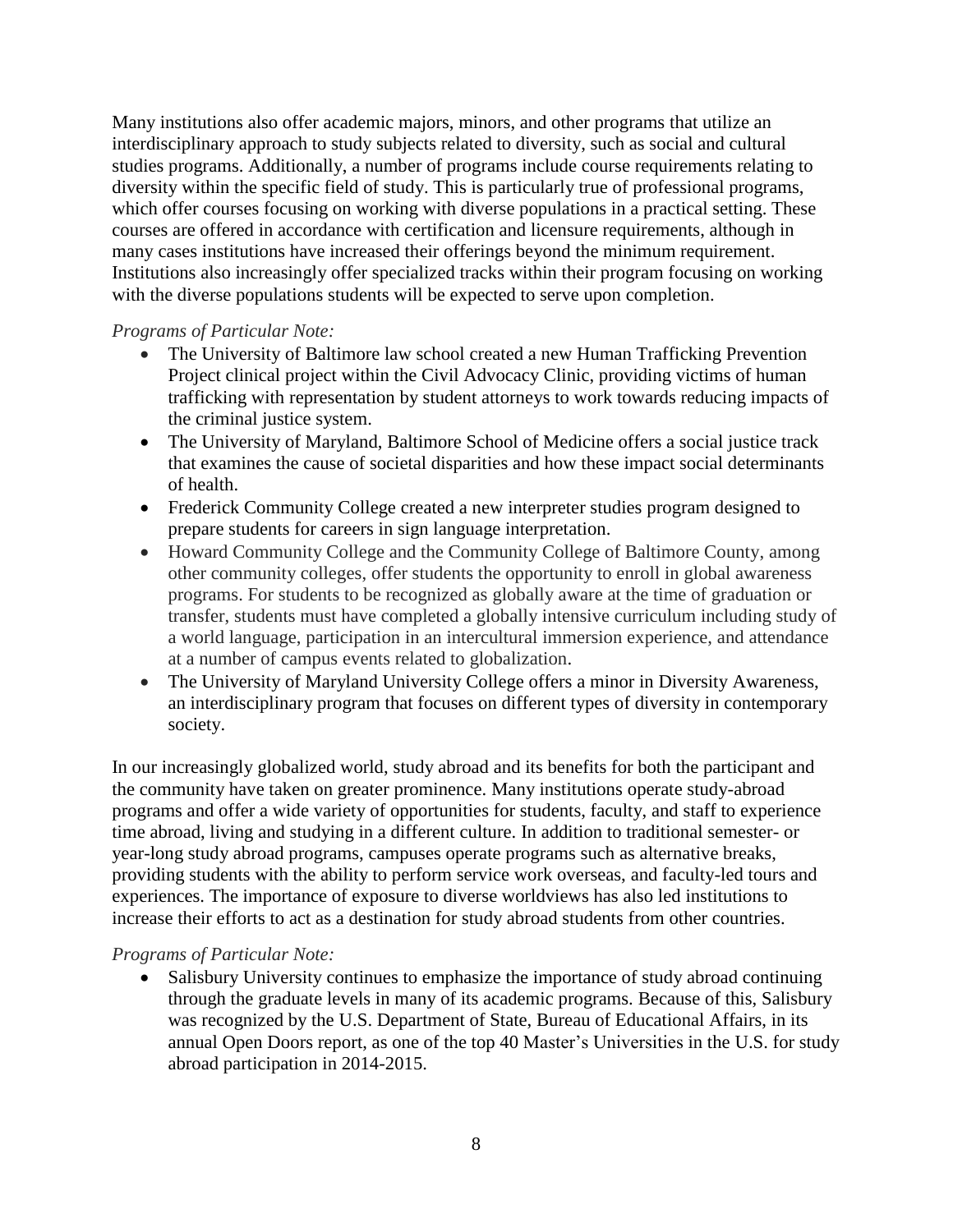Many institutions also offer academic majors, minors, and other programs that utilize an interdisciplinary approach to study subjects related to diversity, such as social and cultural studies programs. Additionally, a number of programs include course requirements relating to diversity within the specific field of study. This is particularly true of professional programs, which offer courses focusing on working with diverse populations in a practical setting. These courses are offered in accordance with certification and licensure requirements, although in many cases institutions have increased their offerings beyond the minimum requirement. Institutions also increasingly offer specialized tracks within their program focusing on working with the diverse populations students will be expected to serve upon completion.

#### *Programs of Particular Note:*

- The University of Baltimore law school created a new Human Trafficking Prevention Project clinical project within the Civil Advocacy Clinic, providing victims of human trafficking with representation by student attorneys to work towards reducing impacts of the criminal justice system.
- The University of Maryland, Baltimore School of Medicine offers a social justice track that examines the cause of societal disparities and how these impact social determinants of health.
- Frederick Community College created a new interpreter studies program designed to prepare students for careers in sign language interpretation.
- Howard Community College and the Community College of Baltimore County, among other community colleges, offer students the opportunity to enroll in global awareness programs. For students to be recognized as globally aware at the time of graduation or transfer, students must have completed a globally intensive curriculum including study of a world language, participation in an intercultural immersion experience, and attendance at a number of campus events related to globalization.
- The University of Maryland University College offers a minor in Diversity Awareness, an interdisciplinary program that focuses on different types of diversity in contemporary society.

In our increasingly globalized world, study abroad and its benefits for both the participant and the community have taken on greater prominence. Many institutions operate study-abroad programs and offer a wide variety of opportunities for students, faculty, and staff to experience time abroad, living and studying in a different culture. In addition to traditional semester- or year-long study abroad programs, campuses operate programs such as alternative breaks, providing students with the ability to perform service work overseas, and faculty-led tours and experiences. The importance of exposure to diverse worldviews has also led institutions to increase their efforts to act as a destination for study abroad students from other countries.

#### *Programs of Particular Note:*

• Salisbury University continues to emphasize the importance of study abroad continuing through the graduate levels in many of its academic programs. Because of this, Salisbury was recognized by the U.S. Department of State, Bureau of Educational Affairs, in its annual Open Doors report, as one of the top 40 Master's Universities in the U.S. for study abroad participation in 2014-2015.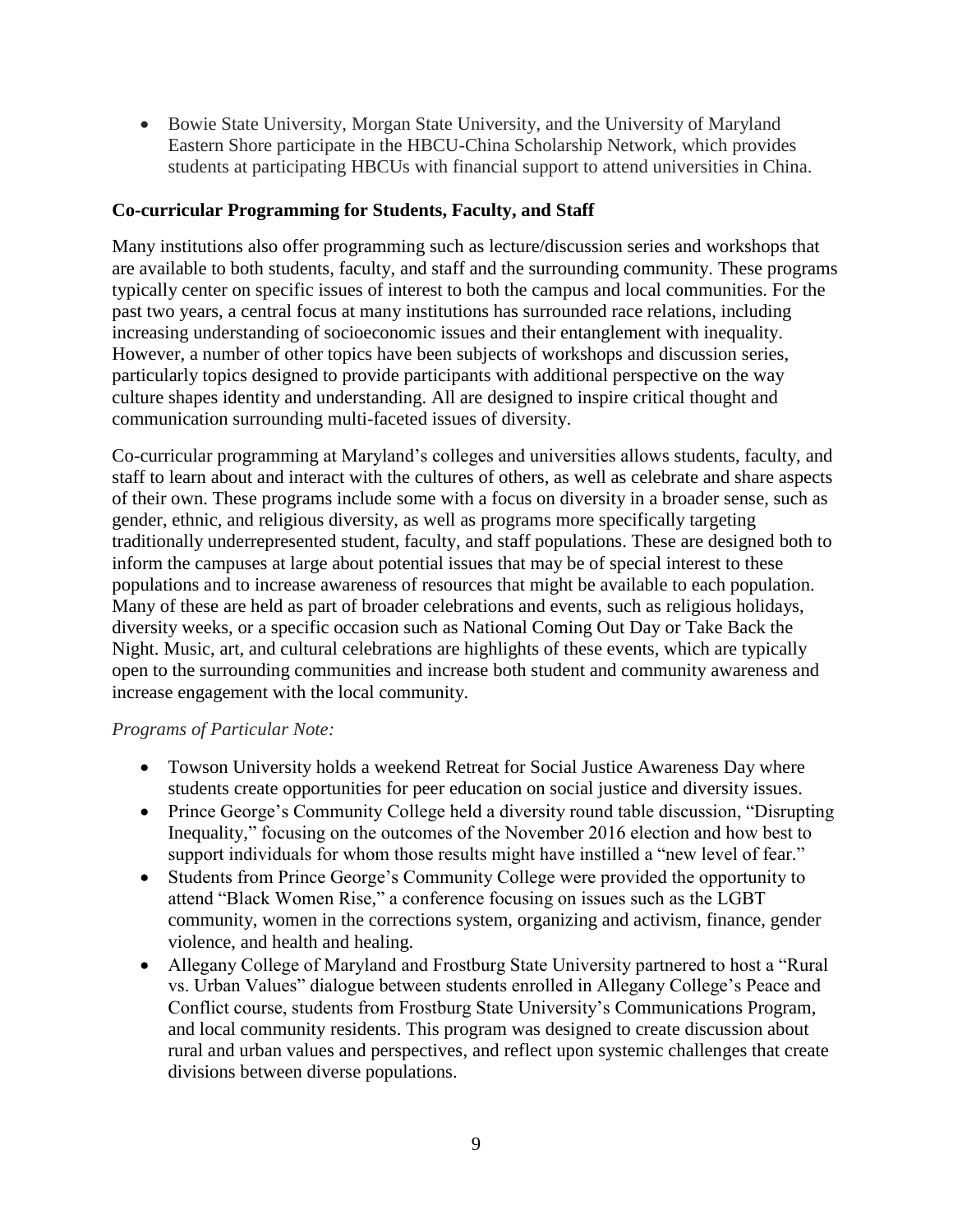Bowie State University, Morgan State University, and the University of Maryland Eastern Shore participate in the HBCU-China Scholarship Network, which provides students at participating HBCUs with financial support to attend universities in China.

#### **Co-curricular Programming for Students, Faculty, and Staff**

Many institutions also offer programming such as lecture/discussion series and workshops that are available to both students, faculty, and staff and the surrounding community. These programs typically center on specific issues of interest to both the campus and local communities. For the past two years, a central focus at many institutions has surrounded race relations, including increasing understanding of socioeconomic issues and their entanglement with inequality. However, a number of other topics have been subjects of workshops and discussion series, particularly topics designed to provide participants with additional perspective on the way culture shapes identity and understanding. All are designed to inspire critical thought and communication surrounding multi-faceted issues of diversity.

Co-curricular programming at Maryland's colleges and universities allows students, faculty, and staff to learn about and interact with the cultures of others, as well as celebrate and share aspects of their own. These programs include some with a focus on diversity in a broader sense, such as gender, ethnic, and religious diversity, as well as programs more specifically targeting traditionally underrepresented student, faculty, and staff populations. These are designed both to inform the campuses at large about potential issues that may be of special interest to these populations and to increase awareness of resources that might be available to each population. Many of these are held as part of broader celebrations and events, such as religious holidays, diversity weeks, or a specific occasion such as National Coming Out Day or Take Back the Night. Music, art, and cultural celebrations are highlights of these events, which are typically open to the surrounding communities and increase both student and community awareness and increase engagement with the local community.

#### *Programs of Particular Note:*

- Towson University holds a weekend Retreat for Social Justice Awareness Day where students create opportunities for peer education on social justice and diversity issues.
- Prince George's Community College held a diversity round table discussion, "Disrupting" Inequality," focusing on the outcomes of the November 2016 election and how best to support individuals for whom those results might have instilled a "new level of fear."
- Students from Prince George's Community College were provided the opportunity to attend "Black Women Rise," a conference focusing on issues such as the LGBT community, women in the corrections system, organizing and activism, finance, gender violence, and health and healing.
- Allegany College of Maryland and Frostburg State University partnered to host a "Rural vs. Urban Values" dialogue between students enrolled in Allegany College's Peace and Conflict course, students from Frostburg State University's Communications Program, and local community residents. This program was designed to create discussion about rural and urban values and perspectives, and reflect upon systemic challenges that create divisions between diverse populations.